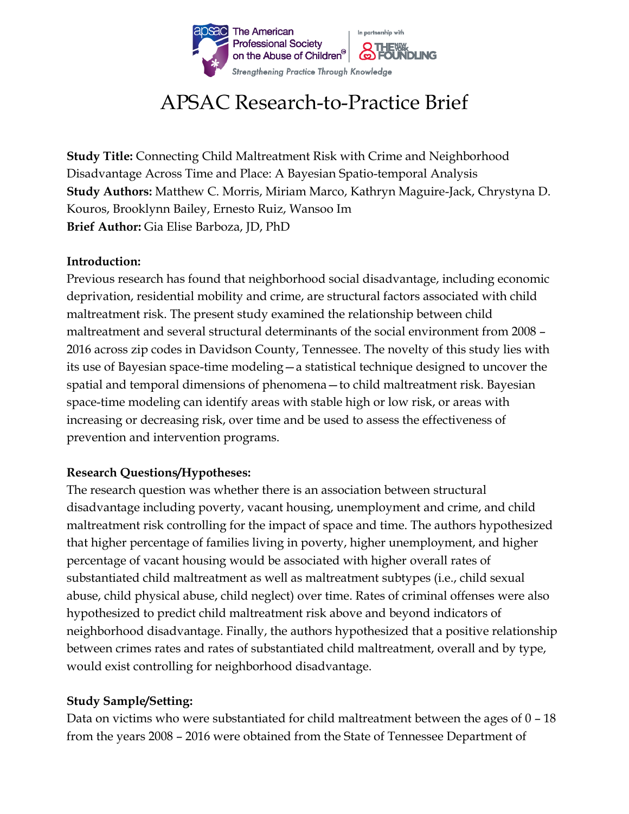

# APSAC Research-to-Practice Brief

**Study Title:** Connecting Child Maltreatment Risk with Crime and Neighborhood Disadvantage Across Time and Place: A Bayesian Spatio-temporal Analysis **Study Authors:** Matthew C. Morris, Miriam Marco, Kathryn Maguire-Jack, Chrystyna D. Kouros, Brooklynn Bailey, Ernesto Ruiz, Wansoo Im **Brief Author:** Gia Elise Barboza, JD, PhD

#### **Introduction:**

Previous research has found that neighborhood social disadvantage, including economic deprivation, residential mobility and crime, are structural factors associated with child maltreatment risk. The present study examined the relationship between child maltreatment and several structural determinants of the social environment from 2008 – 2016 across zip codes in Davidson County, Tennessee. The novelty of this study lies with its use of Bayesian space-time modeling—a statistical technique designed to uncover the spatial and temporal dimensions of phenomena—to child maltreatment risk. Bayesian space-time modeling can identify areas with stable high or low risk, or areas with increasing or decreasing risk, over time and be used to assess the effectiveness of prevention and intervention programs.

### **Research Questions/Hypotheses:**

The research question was whether there is an association between structural disadvantage including poverty, vacant housing, unemployment and crime, and child maltreatment risk controlling for the impact of space and time. The authors hypothesized that higher percentage of families living in poverty, higher unemployment, and higher percentage of vacant housing would be associated with higher overall rates of substantiated child maltreatment as well as maltreatment subtypes (i.e., child sexual abuse, child physical abuse, child neglect) over time. Rates of criminal offenses were also hypothesized to predict child maltreatment risk above and beyond indicators of neighborhood disadvantage. Finally, the authors hypothesized that a positive relationship between crimes rates and rates of substantiated child maltreatment, overall and by type, would exist controlling for neighborhood disadvantage.

## **Study Sample/Setting:**

Data on victims who were substantiated for child maltreatment between the ages of 0 – 18 from the years 2008 – 2016 were obtained from the State of Tennessee Department of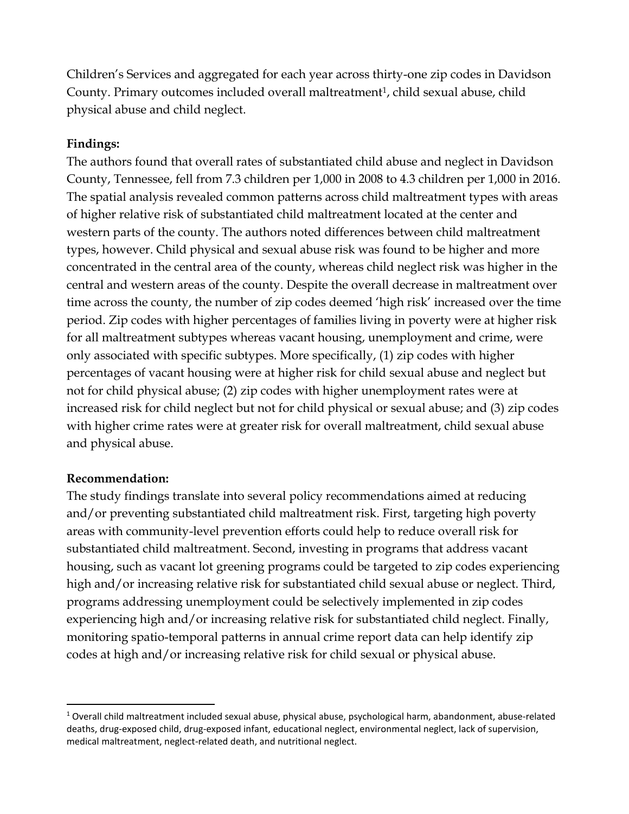Children's Services and aggregated for each year across thirty-one zip codes in Davidson County. Primary outcomes included overall maltreatment<sup>1</sup>, child sexual abuse, child physical abuse and child neglect.

#### **Findings:**

The authors found that overall rates of substantiated child abuse and neglect in Davidson County, Tennessee, fell from 7.3 children per 1,000 in 2008 to 4.3 children per 1,000 in 2016. The spatial analysis revealed common patterns across child maltreatment types with areas of higher relative risk of substantiated child maltreatment located at the center and western parts of the county. The authors noted differences between child maltreatment types, however. Child physical and sexual abuse risk was found to be higher and more concentrated in the central area of the county, whereas child neglect risk was higher in the central and western areas of the county. Despite the overall decrease in maltreatment over time across the county, the number of zip codes deemed 'high risk' increased over the time period. Zip codes with higher percentages of families living in poverty were at higher risk for all maltreatment subtypes whereas vacant housing, unemployment and crime, were only associated with specific subtypes. More specifically, (1) zip codes with higher percentages of vacant housing were at higher risk for child sexual abuse and neglect but not for child physical abuse; (2) zip codes with higher unemployment rates were at increased risk for child neglect but not for child physical or sexual abuse; and (3) zip codes with higher crime rates were at greater risk for overall maltreatment, child sexual abuse and physical abuse.

#### **Recommendation:**

 $\ddot{\phantom{a}}$ 

The study findings translate into several policy recommendations aimed at reducing and/or preventing substantiated child maltreatment risk. First, targeting high poverty areas with community-level prevention efforts could help to reduce overall risk for substantiated child maltreatment. Second, investing in programs that address vacant housing, such as vacant lot greening programs could be targeted to zip codes experiencing high and/or increasing relative risk for substantiated child sexual abuse or neglect. Third, programs addressing unemployment could be selectively implemented in zip codes experiencing high and/or increasing relative risk for substantiated child neglect. Finally, monitoring spatio-temporal patterns in annual crime report data can help identify zip codes at high and/or increasing relative risk for child sexual or physical abuse.

<sup>1</sup> Overall child maltreatment included sexual abuse, physical abuse, psychological harm, abandonment, abuse-related deaths, drug-exposed child, drug-exposed infant, educational neglect, environmental neglect, lack of supervision, medical maltreatment, neglect-related death, and nutritional neglect.